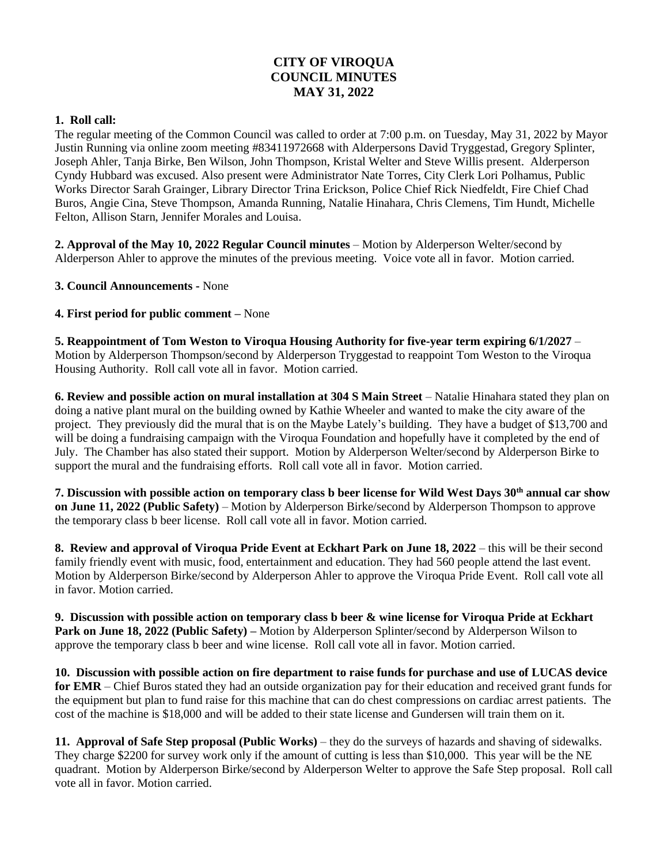# **CITY OF VIROQUA COUNCIL MINUTES MAY 31, 2022**

#### **1. Roll call:**

The regular meeting of the Common Council was called to order at 7:00 p.m. on Tuesday, May 31, 2022 by Mayor Justin Running via online zoom meeting #83411972668 with Alderpersons David Tryggestad, Gregory Splinter, Joseph Ahler, Tanja Birke, Ben Wilson, John Thompson, Kristal Welter and Steve Willis present. Alderperson Cyndy Hubbard was excused. Also present were Administrator Nate Torres, City Clerk Lori Polhamus, Public Works Director Sarah Grainger, Library Director Trina Erickson, Police Chief Rick Niedfeldt, Fire Chief Chad Buros, Angie Cina, Steve Thompson, Amanda Running, Natalie Hinahara, Chris Clemens, Tim Hundt, Michelle Felton, Allison Starn, Jennifer Morales and Louisa.

**2. Approval of the May 10, 2022 Regular Council minutes** – Motion by Alderperson Welter/second by Alderperson Ahler to approve the minutes of the previous meeting. Voice vote all in favor. Motion carried.

#### **3. Council Announcements -** None

#### **4. First period for public comment –** None

**5. Reappointment of Tom Weston to Viroqua Housing Authority for five-year term expiring 6/1/2027** – Motion by Alderperson Thompson/second by Alderperson Tryggestad to reappoint Tom Weston to the Viroqua Housing Authority. Roll call vote all in favor. Motion carried.

**6. Review and possible action on mural installation at 304 S Main Street** – Natalie Hinahara stated they plan on doing a native plant mural on the building owned by Kathie Wheeler and wanted to make the city aware of the project. They previously did the mural that is on the Maybe Lately's building. They have a budget of \$13,700 and will be doing a fundraising campaign with the Viroqua Foundation and hopefully have it completed by the end of July. The Chamber has also stated their support. Motion by Alderperson Welter/second by Alderperson Birke to support the mural and the fundraising efforts. Roll call vote all in favor. Motion carried.

**7. Discussion with possible action on temporary class b beer license for Wild West Days 30th annual car show on June 11, 2022 (Public Safety)** – Motion by Alderperson Birke/second by Alderperson Thompson to approve the temporary class b beer license. Roll call vote all in favor. Motion carried.

**8. Review and approval of Viroqua Pride Event at Eckhart Park on June 18, 2022** – this will be their second family friendly event with music, food, entertainment and education. They had 560 people attend the last event. Motion by Alderperson Birke/second by Alderperson Ahler to approve the Viroqua Pride Event. Roll call vote all in favor. Motion carried.

**9. Discussion with possible action on temporary class b beer & wine license for Viroqua Pride at Eckhart Park on June 18, 2022 (Public Safety) –** Motion by Alderperson Splinter/second by Alderperson Wilson to approve the temporary class b beer and wine license. Roll call vote all in favor. Motion carried.

**10. Discussion with possible action on fire department to raise funds for purchase and use of LUCAS device for EMR** – Chief Buros stated they had an outside organization pay for their education and received grant funds for the equipment but plan to fund raise for this machine that can do chest compressions on cardiac arrest patients. The cost of the machine is \$18,000 and will be added to their state license and Gundersen will train them on it.

**11. Approval of Safe Step proposal (Public Works)** – they do the surveys of hazards and shaving of sidewalks. They charge \$2200 for survey work only if the amount of cutting is less than \$10,000. This year will be the NE quadrant. Motion by Alderperson Birke/second by Alderperson Welter to approve the Safe Step proposal. Roll call vote all in favor. Motion carried.